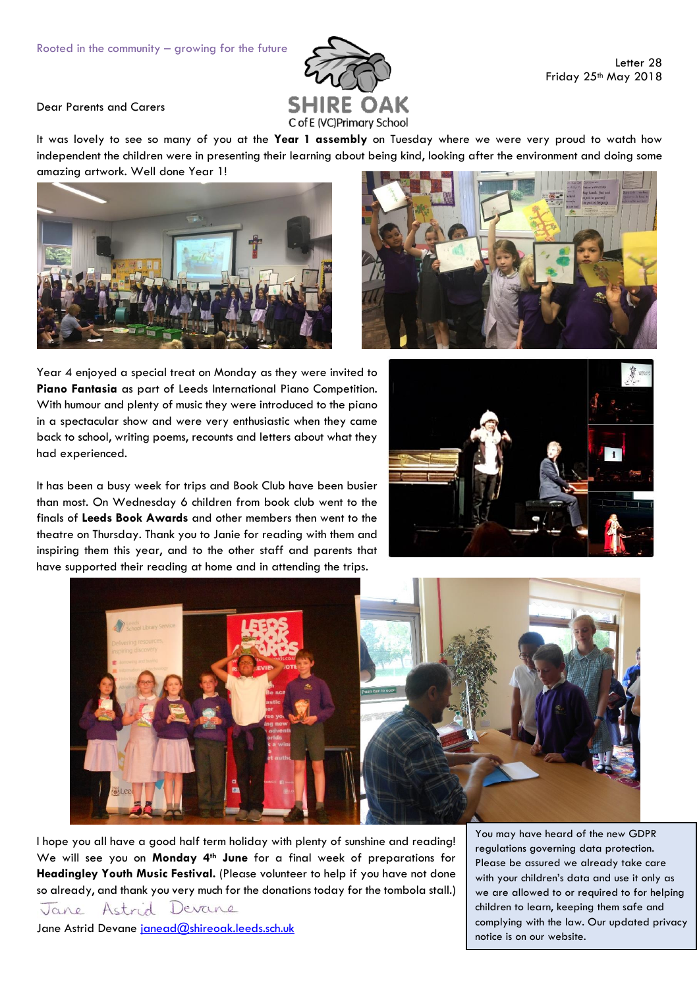

Letter 28 Friday 25<sup>th</sup> May 2018

Dear Parents and Carers

It was lovely to see so many of you at the **Year 1 assembly** on Tuesday where we were very proud to watch how independent the children were in presenting their learning about being kind, looking after the environment and doing some amazing artwork. Well done Year 1!





Year 4 enjoyed a special treat on Monday as they were invited to **Piano Fantasia** as part of Leeds International Piano Competition. With humour and plenty of music they were introduced to the piano in a spectacular show and were very enthusiastic when they came back to school, writing poems, recounts and letters about what they had experienced.

It has been a busy week for trips and Book Club have been busier than most. On Wednesday 6 children from book club went to the finals of **Leeds Book Awards** and other members then went to the theatre on Thursday. Thank you to Janie for reading with them and inspiring them this year, and to the other staff and parents that have supported their reading at home and in attending the trips.





I hope you all have a good half term holiday with plenty of sunshine and reading! We will see you on **Monday 4th June** for a final week of preparations for **Headingley Youth Music Festival.** (Please volunteer to help if you have not done so already, and thank you very much for the donations today for the tombola stall.) Astrid Devane

Jane Astrid Devane [janead@shireoak.leeds.sch.uk](mailto:janead@shireoak.leeds.sch.uk)

Jane

You may have heard of the new GDPR regulations governing data protection. Please be assured we already take care with your children's data and use it only as we are allowed to or required to for helping children to learn, keeping them safe and complying with the law. Our updated privacy notice is on our website.